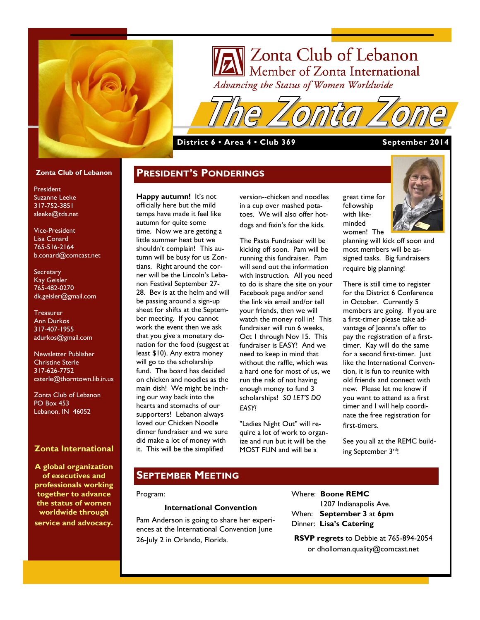

# Zonta Club of Lebanon Member of Zonta International Advancing the Status of Women Worldwide

### **District 6 • Area 4 • Club 369 September 2014**

**PRESIDENT'S PONDERINGS**

#### **Zonta Club of Lebanon**

President Suzanne Leeke 317-752-3851 sleeke@tds.net

Vice-President Lisa Conard 765-516-2164 b.conard@comcast.net

**Secretary** Kay Geisler 765-482-0270 dk.geisler@gmail.com

**Treasurer** Ann Durkos 317-407-1955 adurkos@gmail.com

Newsletter Publisher Christine Sterle 317-626-7752 csterle@thorntown.lib.in.us

Zonta Club of Lebanon PO Box 453 Lebanon, IN 46052

### **Zonta International**

**A global organization of executives and professionals working together to advance the status of women worldwide through service and advocacy.**

**Happy autumn!** It's not officially here but the mild temps have made it feel like autumn for quite some time. Now we are getting a little summer heat but we shouldn't complain! This autumn will be busy for us Zontians. Right around the corner will be the Lincoln's Lebanon Festival September 27- 28. Bev is at the helm and will be passing around a sign-up sheet for shifts at the September meeting. If you cannot work the event then we ask that you give a monetary donation for the food (suggest at least \$10). Any extra money will go to the scholarship fund. The board has decided on chicken and noodles as the main dish! We might be inching our way back into the hearts and stomachs of our supporters! Lebanon always loved our Chicken Noodle dinner fundraiser and we sure did make a lot of money with it. This will be the simplified

version--chicken and noodles in a cup over mashed potatoes. We will also offer hotdogs and fixin's for the kids.

The Pasta Fundraiser will be kicking off soon. Pam will be running this fundraiser. Pam will send out the information with instruction. All you need to do is share the site on your Facebook page and/or send the link via email and/or tell your friends, then we will watch the money roll in! This fundraiser will run 6 weeks, Oct 1 through Nov 15. This fundraiser is EASY! And we need to keep in mind that without the raffle, which was a hard one for most of us, we run the risk of not having enough money to fund 3 scholarships! *SO LET'S DO EASY!*

"Ladies Night Out" will require a lot of work to organize and run but it will be the MOST FUN and will be a

great time for fellowship with likeminded women! The



planning will kick off soon and most members will be assigned tasks. Big fundraisers require big planning!

There is still time to register for the District 6 Conference in October. Currently 5 members are going. If you are a first-timer please take advantage of Joanna's offer to pay the registration of a firsttimer. Kay will do the same for a second first-timer. Just like the International Convention, it is fun to reunite with old friends and connect with new. Please let me know if you want to attend as a first timer and I will help coordinate the free registration for first-timers.

See you all at the REMC building September 3rd!

# **SEPTEMBER MEETING**

#### Program:

#### **International Convention**

Pam Anderson is going to share her experiences at the International Convention June 26-July 2 in Orlando, Florida.

Where: **Boone REMC** 1207 Indianapolis Ave. When: **September 3** at **6pm** Dinner: **Lisa's Catering**

**RSVP regrets** to Debbie at 765-894-2054 or dholloman.quality@comcast.net